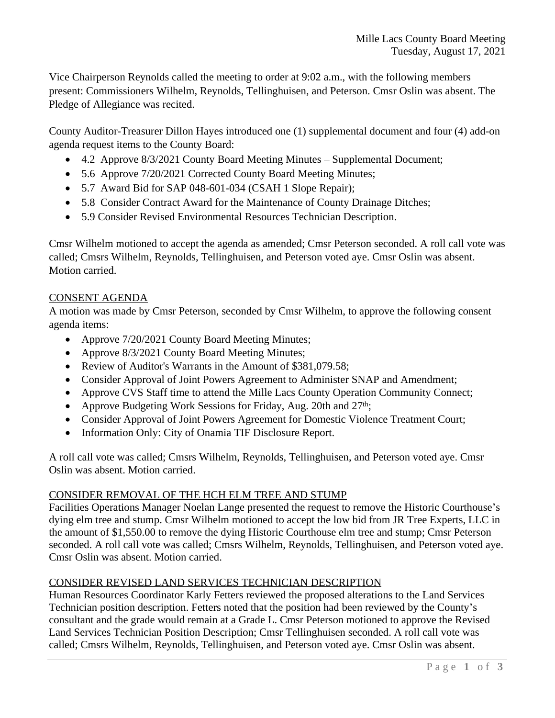Vice Chairperson Reynolds called the meeting to order at 9:02 a.m., with the following members present: Commissioners Wilhelm, Reynolds, Tellinghuisen, and Peterson. Cmsr Oslin was absent. The Pledge of Allegiance was recited.

County Auditor-Treasurer Dillon Hayes introduced one (1) supplemental document and four (4) add-on agenda request items to the County Board:

- 4.2 Approve 8/3/2021 County Board Meeting Minutes Supplemental Document;
- 5.6 Approve 7/20/2021 Corrected County Board Meeting Minutes;
- 5.7 Award Bid for SAP 048-601-034 (CSAH 1 Slope Repair);
- 5.8 Consider Contract Award for the Maintenance of County Drainage Ditches;
- 5.9 Consider Revised Environmental Resources Technician Description.

Cmsr Wilhelm motioned to accept the agenda as amended; Cmsr Peterson seconded. A roll call vote was called; Cmsrs Wilhelm, Reynolds, Tellinghuisen, and Peterson voted aye. Cmsr Oslin was absent. Motion carried.

# CONSENT AGENDA

A motion was made by Cmsr Peterson, seconded by Cmsr Wilhelm, to approve the following consent agenda items:

- Approve 7/20/2021 County Board Meeting Minutes;
- Approve 8/3/2021 County Board Meeting Minutes;
- Review of Auditor's Warrants in the Amount of \$381,079.58;
- Consider Approval of Joint Powers Agreement to Administer SNAP and Amendment;
- Approve CVS Staff time to attend the Mille Lacs County Operation Community Connect;
- Approve Budgeting Work Sessions for Friday, Aug. 20th and  $27<sup>th</sup>$ ;
- Consider Approval of Joint Powers Agreement for Domestic Violence Treatment Court;
- Information Only: City of Onamia TIF Disclosure Report.

A roll call vote was called; Cmsrs Wilhelm, Reynolds, Tellinghuisen, and Peterson voted aye. Cmsr Oslin was absent. Motion carried.

# CONSIDER REMOVAL OF THE HCH ELM TREE AND STUMP

Facilities Operations Manager Noelan Lange presented the request to remove the Historic Courthouse's dying elm tree and stump. Cmsr Wilhelm motioned to accept the low bid from JR Tree Experts, LLC in the amount of \$1,550.00 to remove the dying Historic Courthouse elm tree and stump; Cmsr Peterson seconded. A roll call vote was called; Cmsrs Wilhelm, Reynolds, Tellinghuisen, and Peterson voted aye. Cmsr Oslin was absent. Motion carried.

# CONSIDER REVISED LAND SERVICES TECHNICIAN DESCRIPTION

Human Resources Coordinator Karly Fetters reviewed the proposed alterations to the Land Services Technician position description. Fetters noted that the position had been reviewed by the County's consultant and the grade would remain at a Grade L. Cmsr Peterson motioned to approve the Revised Land Services Technician Position Description; Cmsr Tellinghuisen seconded. A roll call vote was called; Cmsrs Wilhelm, Reynolds, Tellinghuisen, and Peterson voted aye. Cmsr Oslin was absent.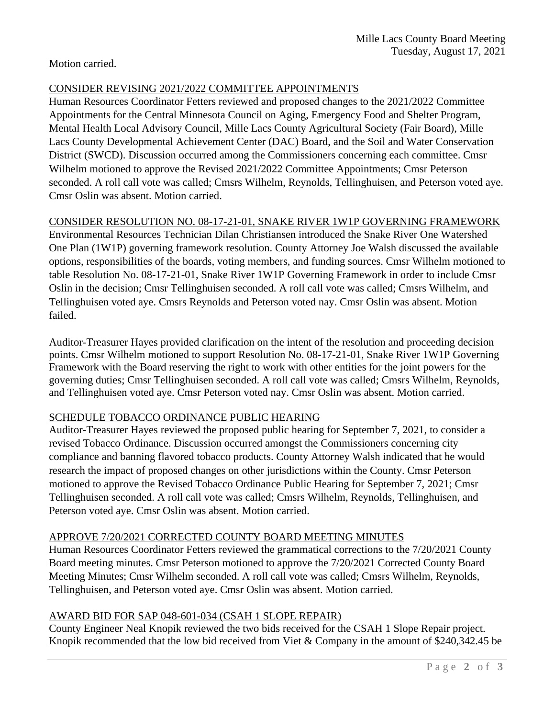Motion carried.

#### CONSIDER REVISING 2021/2022 COMMITTEE APPOINTMENTS

Human Resources Coordinator Fetters reviewed and proposed changes to the 2021/2022 Committee Appointments for the Central Minnesota Council on Aging, Emergency Food and Shelter Program, Mental Health Local Advisory Council, Mille Lacs County Agricultural Society (Fair Board), Mille Lacs County Developmental Achievement Center (DAC) Board, and the Soil and Water Conservation District (SWCD). Discussion occurred among the Commissioners concerning each committee. Cmsr Wilhelm motioned to approve the Revised 2021/2022 Committee Appointments; Cmsr Peterson seconded. A roll call vote was called; Cmsrs Wilhelm, Reynolds, Tellinghuisen, and Peterson voted aye. Cmsr Oslin was absent. Motion carried.

### CONSIDER RESOLUTION NO. 08-17-21-01, SNAKE RIVER 1W1P GOVERNING FRAMEWORK

Environmental Resources Technician Dilan Christiansen introduced the Snake River One Watershed One Plan (1W1P) governing framework resolution. County Attorney Joe Walsh discussed the available options, responsibilities of the boards, voting members, and funding sources. Cmsr Wilhelm motioned to table Resolution No. 08-17-21-01, Snake River 1W1P Governing Framework in order to include Cmsr Oslin in the decision; Cmsr Tellinghuisen seconded. A roll call vote was called; Cmsrs Wilhelm, and Tellinghuisen voted aye. Cmsrs Reynolds and Peterson voted nay. Cmsr Oslin was absent. Motion failed.

Auditor-Treasurer Hayes provided clarification on the intent of the resolution and proceeding decision points. Cmsr Wilhelm motioned to support Resolution No. 08-17-21-01, Snake River 1W1P Governing Framework with the Board reserving the right to work with other entities for the joint powers for the governing duties; Cmsr Tellinghuisen seconded. A roll call vote was called; Cmsrs Wilhelm, Reynolds, and Tellinghuisen voted aye. Cmsr Peterson voted nay. Cmsr Oslin was absent. Motion carried.

### SCHEDULE TOBACCO ORDINANCE PUBLIC HEARING

Auditor-Treasurer Hayes reviewed the proposed public hearing for September 7, 2021, to consider a revised Tobacco Ordinance. Discussion occurred amongst the Commissioners concerning city compliance and banning flavored tobacco products. County Attorney Walsh indicated that he would research the impact of proposed changes on other jurisdictions within the County. Cmsr Peterson motioned to approve the Revised Tobacco Ordinance Public Hearing for September 7, 2021; Cmsr Tellinghuisen seconded. A roll call vote was called; Cmsrs Wilhelm, Reynolds, Tellinghuisen, and Peterson voted aye. Cmsr Oslin was absent. Motion carried.

### APPROVE 7/20/2021 CORRECTED COUNTY BOARD MEETING MINUTES

Human Resources Coordinator Fetters reviewed the grammatical corrections to the 7/20/2021 County Board meeting minutes. Cmsr Peterson motioned to approve the 7/20/2021 Corrected County Board Meeting Minutes; Cmsr Wilhelm seconded. A roll call vote was called; Cmsrs Wilhelm, Reynolds, Tellinghuisen, and Peterson voted aye. Cmsr Oslin was absent. Motion carried.

# AWARD BID FOR SAP 048-601-034 (CSAH 1 SLOPE REPAIR)

County Engineer Neal Knopik reviewed the two bids received for the CSAH 1 Slope Repair project. Knopik recommended that the low bid received from Viet & Company in the amount of \$240,342.45 be